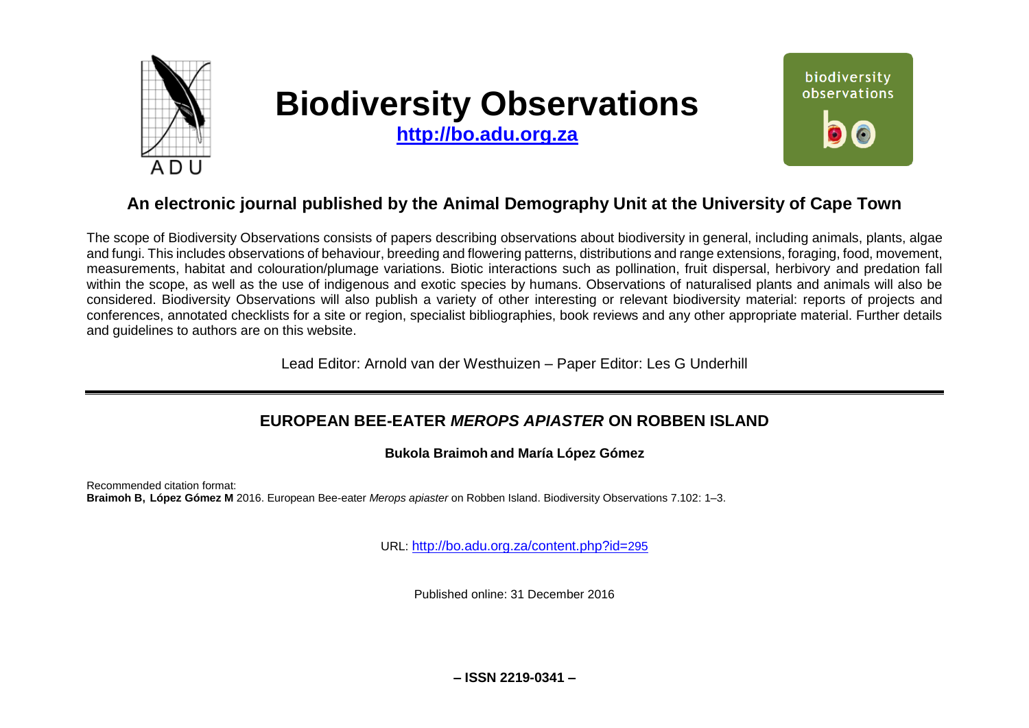

# **Biodiversity Observations**

**[http://bo.adu.org.za](http://bo.adu.org.za/)**



# **An electronic journal published by the Animal Demography Unit at the University of Cape Town**

The scope of Biodiversity Observations consists of papers describing observations about biodiversity in general, including animals, plants, algae and fungi. This includes observations of behaviour, breeding and flowering patterns, distributions and range extensions, foraging, food, movement, measurements, habitat and colouration/plumage variations. Biotic interactions such as pollination, fruit dispersal, herbivory and predation fall within the scope, as well as the use of indigenous and exotic species by humans. Observations of naturalised plants and animals will also be considered. Biodiversity Observations will also publish a variety of other interesting or relevant biodiversity material: reports of projects and conferences, annotated checklists for a site or region, specialist bibliographies, book reviews and any other appropriate material. Further details and guidelines to authors are on this website.

Lead Editor: Arnold van der Westhuizen – Paper Editor: Les G Underhill

## **EUROPEAN BEE-EATER** *MEROPS APIASTER* **ON ROBBEN ISLAND**

**Bukola Braimoh and María López Gómez**

Recommended citation format: **Braimoh B, López Gómez M** 2016. European Bee-eater *Merops apiaster* on Robben Island. Biodiversity Observations 7.102: 1–3.

URL: [http://bo.adu.org.za/content.php?id=](http://bo.adu.org.za/content.php?id=295)295

Published online: 31 December 2016

**– ISSN 2219-0341 –**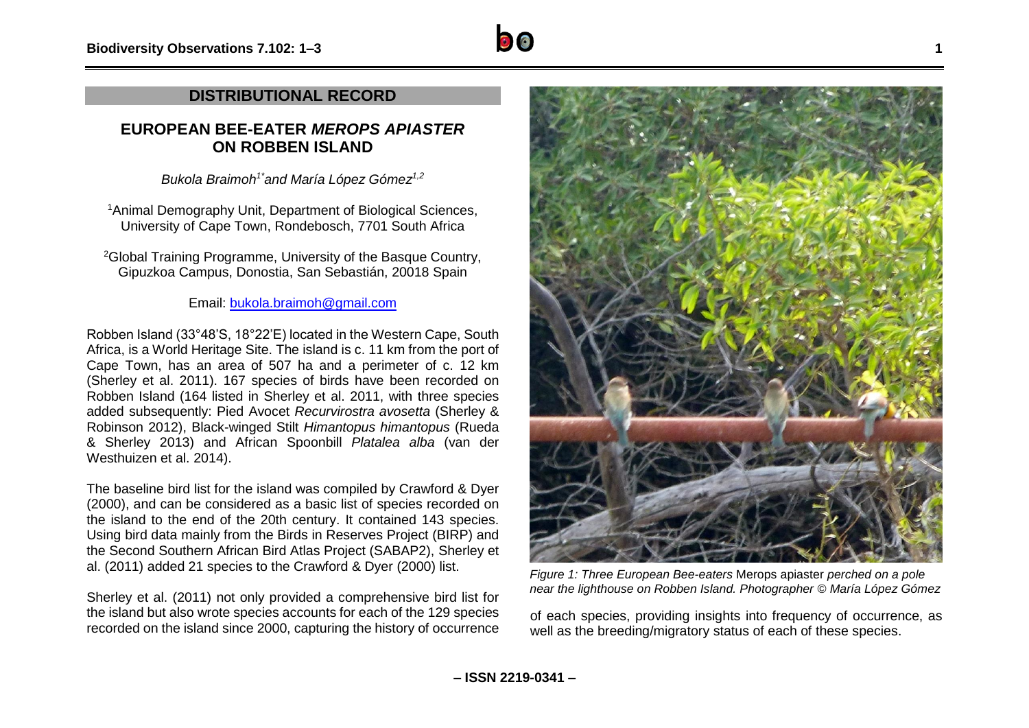## **DISTRIBUTIONAL RECORD**

## **EUROPEAN BEE-EATER** *MEROPS APIASTER* **ON ROBBEN ISLAND**

*Bukola Braimoh1\*and María López Gómez1,2*

<sup>1</sup> Animal Demography Unit, Department of Biological Sciences, University of Cape Town, Rondebosch, 7701 South Africa

<sup>2</sup>Global Training Programme, University of the Basque Country, Gipuzkoa Campus, Donostia, San Sebastián, 20018 Spain

Email: [bukola.braimoh@gmail.com](mailto:bukola.braimoh@gmail.com)

Robben Island (33°48'S, 18°22'E) located in the Western Cape, South Africa, is a World Heritage Site. The island is c. 11 km from the port of Cape Town, has an area of 507 ha and a perimeter of c. 12 km (Sherley et al. 2011). 167 species of birds have been recorded on Robben Island (164 listed in Sherley et al. 2011, with three species added subsequently: Pied Avocet *Recurvirostra avosetta* (Sherley & Robinson 2012), Black-winged Stilt *Himantopus himantopus* (Rueda & Sherley 2013) and African Spoonbill *Platalea alba* (van der Westhuizen et al. 2014).

The baseline bird list for the island was compiled by Crawford & Dyer (2000), and can be considered as a basic list of species recorded on the island to the end of the 20th century. It contained 143 species. Using bird data mainly from the Birds in Reserves Project (BIRP) and the Second Southern African Bird Atlas Project (SABAP2), Sherley et al. (2011) added 21 species to the Crawford & Dyer (2000) list.

Sherley et al. (2011) not only provided a comprehensive bird list for the island but also wrote species accounts for each of the 129 species recorded on the island since 2000, capturing the history of occurrence



*Figure 1: Three European Bee-eaters* Merops apiaster *perched on a pole near the lighthouse on Robben Island. Photographer © María López Gómez*

of each species, providing insights into frequency of occurrence, as well as the breeding/migratory status of each of these species.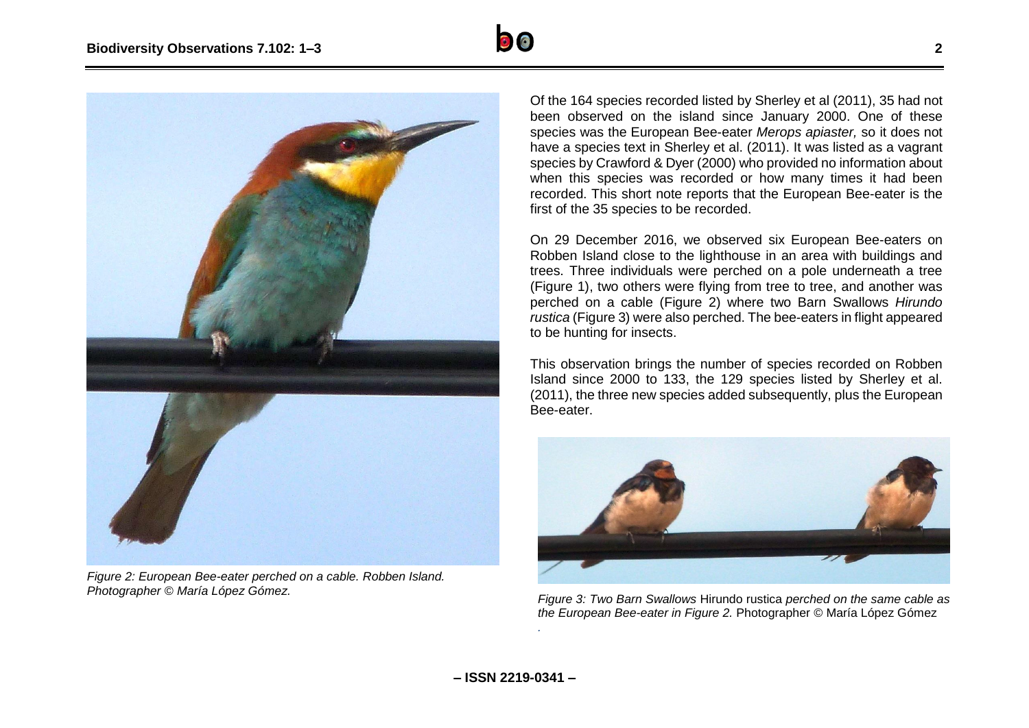



*Figure 2: European Bee-eater perched on a cable. Robben Island. Photographer © María López Gómez.*

Of the 164 species recorded listed by Sherley et al (2011), 35 had not been observed on the island since January 2000. One of these species was the European Bee-eater *Merops apiaster,* so it does not have a species text in Sherley et al. (2011). It was listed as a vagrant species by Crawford & Dyer (2000) who provided no information about when this species was recorded or how many times it had been recorded. This short note reports that the European Bee-eater is the first of the 35 species to be recorded.

On 29 December 2016, we observed six European Bee-eaters on Robben Island close to the lighthouse in an area with buildings and trees. Three individuals were perched on a pole underneath a tree (Figure 1), two others were flying from tree to tree, and another was perched on a cable (Figure 2) where two Barn Swallows *Hirundo rustica* (Figure 3) were also perched. The bee-eaters in flight appeared to be hunting for insects.

This observation brings the number of species recorded on Robben Island since 2000 to 133, the 129 species listed by Sherley et al. (2011), the three new species added subsequently, plus the European Bee-eater.



*Figure 3: Two Barn Swallows* Hirundo rustica *perched on the same cable as the European Bee-eater in Figure 2.* Photographer © María López Gómez

*.*